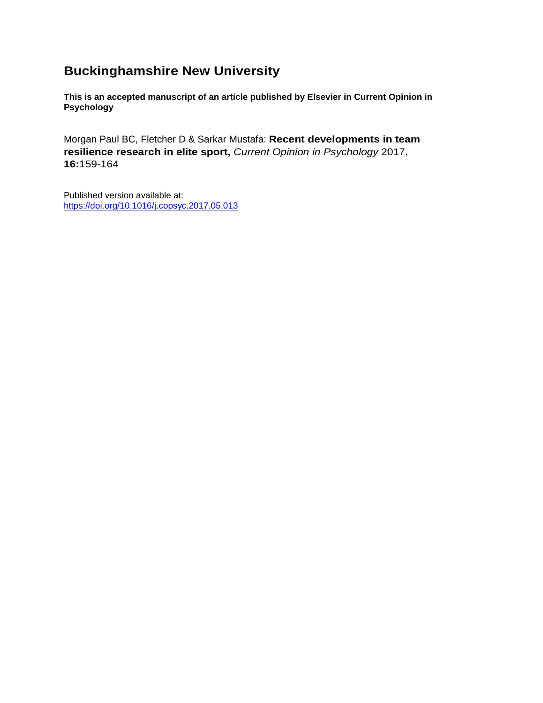## **Buckinghamshire New University**

**This is an accepted manuscript of an article published by Elsevier in Current Opinion in Psychology**

Morgan Paul BC, Fletcher D & Sarkar Mustafa: **Recent developments in team resilience research in elite sport,** *Current Opinion in Psychology* 2017, **16:**159-164

Published version available at: <https://doi.org/10.1016/j.copsyc.2017.05.013>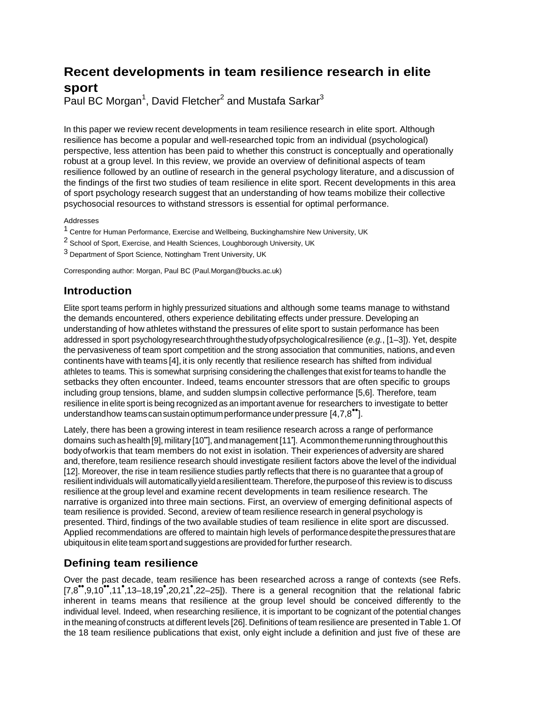# **Recent developments in team resilience research in elite sport**

Paul BC Morgan<sup>1</sup>, David Fletcher<sup>2</sup> and Mustafa Sarkar<sup>3</sup>

In this paper we review recent developments in team resilience research in elite sport. Although resilience has become a popular and well-researched topic from an individual (psychological) perspective, less attention has been paid to whether this construct is conceptually and operationally robust at a group level. In this review, we provide an overview of definitional aspects of team resilience followed by an outline of research in the general psychology literature, and a discussion of the findings of the first two studies of team resilience in elite sport. Recent developments in this area of sport psychology research suggest that an understanding of how teams mobilize their collective psychosocial resources to withstand stressors is essential for optimal performance.

#### Addresses

- 1 Centre for Human Performance, Exercise and Wellbeing, Buckinghamshire New University, UK
- <sup>2</sup> School of Sport, Exercise, and Health Sciences, Loughborough University, UK
- 3 Department of Sport Science, Nottingham Trent University, UK

Corresponding author: Morgan, Paul BC (Paul.Morgan@bucks.ac.uk)

### **Introduction**

Elite sport teams perform in highly pressurized situations and although some teams manage to withstand the demands encountered, others experience debilitating effects under pressure. Developing an understanding of how athletes withstand the pressures of elite sport to sustain performance has been addressed in sport psychologyresearchthroughthestudyofpsychologicalresilience (*e.g.*, [1–3]). Yet, despite the pervasiveness of team sport competition and the strong association that communities, nations, and even continents have with teams [4], it is only recently that resilience research has shifted from individual athletes to teams. This is somewhat surprising considering the challenges that exist forteams to handle the setbacks they often encounter. Indeed, teams encounter stressors that are often specific to groups including group tensions, blame, and sudden slumpsin collective performance [5,6]. Therefore, team resilience in elite sport is being recognized as an important avenue for researchers to investigate to better understandhow teams cansustainoptimumperformanceunderpressure [4,7,8••].

Lately, there has been a growing interest in team resilience research across a range of performance domains such as health [9], military [10"], and management [11']. A common theme running throughout this bodyofworkis that team members do not exist in isolation. Their experiences of adversity are shared and, therefore, team resilience research should investigate resilient factors above the level of the individual [12]. Moreover, the rise in team resilience studies partly reflects that there is no guarantee that a group of resilient individuals will automaticallyyieldaresilientteam.Therefore,thepurposeof this review is to discuss resilience at the group level and examine recent developments in team resilience research. The narrative is organized into three main sections. First, an overview of emerging definitional aspects of team resilience is provided. Second, areview of team resilience research in general psychology is presented. Third, findings of the two available studies of team resilience in elite sport are discussed. Applied recommendations are offered to maintain high levels of performance despite the pressures that are ubiquitous in elite team sport and suggestions are provided forfurther research.

#### **Defining team resilience**

Over the past decade, team resilience has been researched across a range of contexts (see Refs. [7,8•• ,9,10••,11• ,13–18,19• ,20,21• ,22–25]). There is a general recognition that the relational fabric inherent in teams means that resilience at the group level should be conceived differently to the individual level. Indeed, when researching resilience, it is important to be cognizant of the potential changes in the meaning of constructs at different levels [26]. Definitions of team resilience are presented in Table 1.Of the 18 team resilience publications that exist, only eight include a definition and just five of these are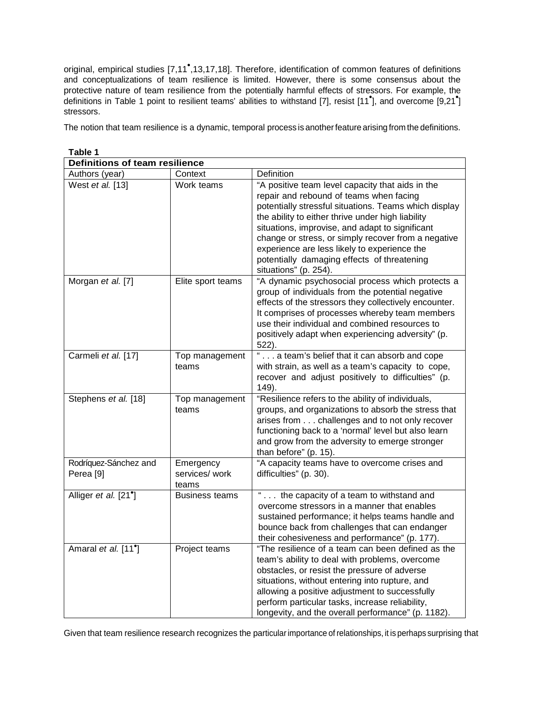original, empirical studies [7,11<sup>°</sup>,13,17,18]. Therefore, identification of common features of definitions and conceptualizations of team resilience is limited. However, there is some consensus about the protective nature of team resilience from the potentially harmful effects of stressors. For example, the definitions in Table <sup>1</sup> point to resilient teams' abilities to withstand [7], resist [11• ], and overcome [9,21• ] stressors.

The notion that team resilience is a dynamic, temporal process is another feature arising from the definitions.

| Definitions of team resilience                |                                      |                                                                                                                                                                                                                                                                                                                                                                                                                                             |
|-----------------------------------------------|--------------------------------------|---------------------------------------------------------------------------------------------------------------------------------------------------------------------------------------------------------------------------------------------------------------------------------------------------------------------------------------------------------------------------------------------------------------------------------------------|
| Authors (year)                                | Context                              | Definition                                                                                                                                                                                                                                                                                                                                                                                                                                  |
| West et al. [13]                              | Work teams                           | "A positive team level capacity that aids in the<br>repair and rebound of teams when facing<br>potentially stressful situations. Teams which display<br>the ability to either thrive under high liability<br>situations, improvise, and adapt to significant<br>change or stress, or simply recover from a negative<br>experience are less likely to experience the<br>potentially damaging effects of threatening<br>situations" (p. 254). |
| Morgan et al. [7]                             | Elite sport teams                    | "A dynamic psychosocial process which protects a<br>group of individuals from the potential negative<br>effects of the stressors they collectively encounter.<br>It comprises of processes whereby team members<br>use their individual and combined resources to<br>positively adapt when experiencing adversity" (p.<br>522).                                                                                                             |
| Carmeli et al. [17]                           | Top management<br>teams              | " a team's belief that it can absorb and cope<br>with strain, as well as a team's capacity to cope,<br>recover and adjust positively to difficulties" (p.<br>149.                                                                                                                                                                                                                                                                           |
| Stephens et al. [18]                          | Top management<br>teams              | "Resilience refers to the ability of individuals,<br>groups, and organizations to absorb the stress that<br>arises from challenges and to not only recover<br>functioning back to a 'normal' level but also learn<br>and grow from the adversity to emerge stronger<br>than before" (p. 15).                                                                                                                                                |
| Rodríquez-Sánchez and<br>Perea <sup>[9]</sup> | Emergency<br>services/ work<br>teams | "A capacity teams have to overcome crises and<br>difficulties" (p. 30).                                                                                                                                                                                                                                                                                                                                                                     |
| Alliger et al. [21 <sup>°</sup> ]             | <b>Business teams</b>                | " the capacity of a team to withstand and<br>overcome stressors in a manner that enables<br>sustained performance; it helps teams handle and<br>bounce back from challenges that can endanger<br>their cohesiveness and performance" (p. 177).                                                                                                                                                                                              |
| Amaral et al. [11 <sup>°</sup> ]              | Project teams                        | "The resilience of a team can been defined as the<br>team's ability to deal with problems, overcome<br>obstacles, or resist the pressure of adverse<br>situations, without entering into rupture, and<br>allowing a positive adjustment to successfully<br>perform particular tasks, increase reliability,<br>longevity, and the overall performance" (p. 1182).                                                                            |

**Table 1**

Given that team resilience research recognizes the particularimportance of relationships, it is perhaps surprising that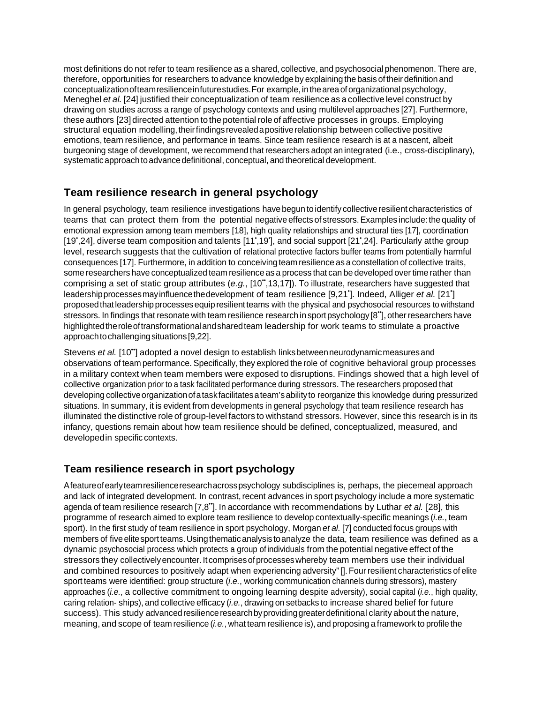most definitions do not refer to team resilience as a shared, collective, and psychosocial phenomenon. There are, therefore, opportunities for researchers toadvance knowledge by explaining the basis oftheir definition and conceptualizationofteamresilienceinfuturestudies.For example,intheareaoforganizational psychology, Meneghel *et al.* [24] justified their conceptualization of team resilience as a collective level construct by drawing on studies across a range of psychology contexts and using multilevel approaches [27]. Furthermore, these authors [23] directed attention to the potential role of affective processes in groups. Employing structural equation modelling, their findings revealed a positive relationship between collective positive emotions, team resilience, and performance in teams. Since team resilience research is at a nascent, albeit burgeoning stage of development, we recommend thatresearchers adopt an integrated (i.e., cross-disciplinary), systematicapproachtoadvancedefinitional, conceptual, and theoretical development.

## **Team resilience research in general psychology**

In general psychology, team resilience investigations have begun to identify collectiveresilient characteristics of teams that can protect them from the potential negative effects of stressors.Examples include:the quality of emotional expression among team members [18], high quality relationships and structural ties [17], coordination [19<sup>•</sup>,24], diverse team composition and talents [11<sup>•</sup>,19<sup>•</sup>], and social support [21<sup>•</sup>,24]. Particularly atthe group level, research suggests that the cultivation of relational protective factors buffer teams from potentially harmful consequences [17]. Furthermore, in addition to conceiving team resilience as a constellation of collective traits, some researchers have conceptualized team resilience as a process that can be developed over time rather than comprising a set of static group attributes (*e.g.*, [10••,13,17]). To illustrate, researchers have suggested that leadershipprocessesmayinfluencethedevelopment of team resilience [9,21• ]. Indeed, Alliger *et al.* [21• ] proposedthatleadershipprocessesequipresilientteams with the physical and psychosocial resources to withstand stressors. In findings that resonate with team resilience research in sport psychology [8<sup>\*\*</sup>], other researchers have highlightedtheroleoftransformationalandsharedteam leadership for work teams to stimulate a proactive approachtochallengingsituations[9,22].

Stevens *et al.* [10••] adopted a novel design to establish linksbetweenneurodynamicmeasuresand observations of team performance. Specifically, they explored the role of cognitive behavioral group processes in a military context when team members were exposed to disruptions. Findings showed that a high level of collective organization prior to a task facilitated performance during stressors. The researchers proposed that developing collectiveorganizationofataskfacilitatesateam'sabilityto reorganize this knowledge during pressurized situations. In summary, it is evident from developments in general psychology that team resilience research has illuminated the distinctive role of group-level factors to withstand stressors. However, since this research is in its infancy, questions remain about how team resilience should be defined, conceptualized, measured, and developedin specific contexts.

#### **Team resilience research in sport psychology**

Afeatureofearlyteamresilienceresearchacrosspsychology subdisciplines is, perhaps, the piecemeal approach and lack of integrated development. In contrast, recent advances in sport psychology include a more systematic agenda of team resilience research [7,8••]. In accordance with recommendations by Luthar *et al.* [28], this programme of research aimed to explore team resilience to develop contextually-specific meanings (*i.e.*, team sport). In the first study of team resilience in sport psychology, Morgan *et al.* [7] conducted focus groups with members of five elite sport teams. Using thematic analysis to analyze the data, team resilience was defined as a dynamic psychosocial process which protects a group of individuals from the potential negative effect of the stressors they collectively encounter. It comprises of processes whereby team members use their individual and combined resources to positively adapt when experiencing adversity"[]. Four resilient characteristics of elite sport teams were identified: group structure (*i.e.*, working communication channels during stressors), mastery approaches (*i.e.*, a collective commitment to ongoing learning despite adversity), social capital (*i.e.*, high quality, caring relation- ships), and collective efficacy (*i.e.*, drawing on setbacks to increase shared belief for future success). This study advanced resilience research by providing greater definitional clarity about the nature, meaning, and scope of team resilience (*i.e.*, what team resilience is), and proposing a framework to profile the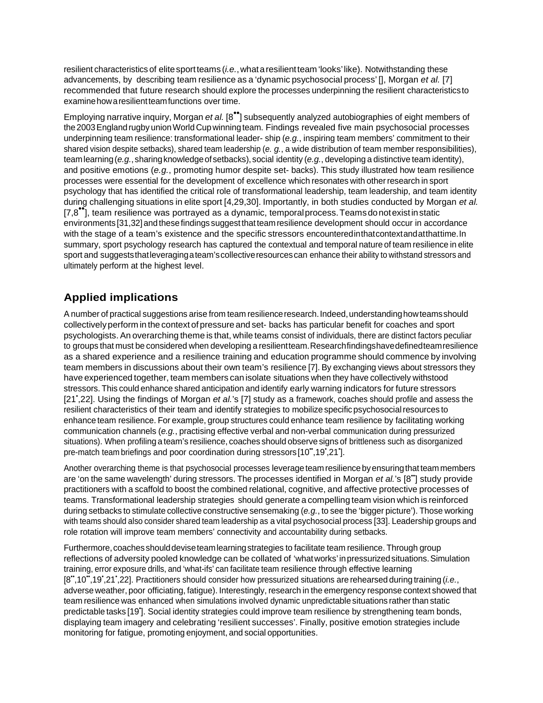resilient characteristics of elite sport teams (*i.e.*, what a resilient team 'looks' like). Notwithstanding these advancements, by describing team resilience as a 'dynamic psychosocial process' [], Morgan *et al.* [7] recommended that future research should explore the processes underpinning the resilient characteristicsto examine how a resilient team functions over time.

Employing narrative inquiry, Morgan *et al.* [8••] subsequently analyzed autobiographies of eight members of the 2003 England rugby union World Cup winning team. Findings revealed five main psychosocial processes underpinning team resilience: transformational leader- ship (*e.g.*, inspiring team members' commitment to their shared vision despite setbacks), shared team leadership (*e. g.*, a wide distribution of team member responsibilities), team learning (*e.g.*, sharing knowledge of setbacks), social identity (*e.g.*, developing a distinctive team identity), and positive emotions (*e.g.*, promoting humor despite set- backs). This study illustrated how team resilience processes were essential for the development of excellence which resonates with otherresearch in sport psychology that has identified the critical role of transformational leadership, team leadership, and team identity during challenging situations in elite sport [4,29,30]. Importantly, in both studies conducted by Morgan *et al.*   $[7,8^{\bullet}]$ , team resilience was portrayed as a dynamic, temporal process. Teams donot exist in static environments [31,32] and these findings suggest that team resilience development should occur in accordance with the stage of a team's existence and the specific stressors encounteredinthatcontextandatthattime.In summary, sport psychology research has captured the contextual and temporal nature of team resilience in elite sport and suggeststhatleveragingateam'scollectiveresourcescan enhance their ability to withstand stressors and ultimately perform at the highest level.

## **Applied implications**

A number of practical suggestions arise from team resilienceresearch.Indeed,understandinghowteamsshould collectivelyperform in the context of pressure and set- backs has particular benefit for coaches and sport psychologists. An overarching theme is that, while teams consist of individuals, there are distinct factors peculiar to groups that must be considered when developing a resilientteam.Researchfindingshavedefinedteamresilience as a shared experience and a resilience training and education programme should commence by involving team members in discussions about their own team's resilience [7]. By exchanging views about stressors they have experienced together, team members can isolate situations when they have collectively withstood stressors. This could enhance shared anticipation and identify early warning indicators for future stressors [21• ,22]. Using the findings of Morgan *et al.*'s [7] study as a framework, coaches should profile and assess the resilient characteristics of their team and identify strategies to mobilize specific psychosocialresources to enhance team resilience. For example, group structures could enhance team resilience by facilitating working communication channels (*e.g.*, practising effective verbal and non-verbal communication during pressurized situations). When profiling a team's resilience, coaches should observe signs of brittleness such as disorganized pre-match team briefings and poor coordination during stressors [10",19',21'].

Another overarching theme is that psychosocial processes leverage team resilience by ensuring that team members are 'on the same wavelength' during stressors. The processes identified in Morgan *et al.*'s [8<sup>\*</sup>] study provide practitioners with a scaffold to boost the combined relational, cognitive, and affective protective processes of teams. Transformational leadership strategies should generate a compelling team vision which is reinforced during setbacks to stimulate collective constructive sensemaking (*e.g.*, to see the 'bigger picture'). Those working with teams should also consider shared team leadership as a vital psychosocial process [33]. Leadership groups and role rotation will improve team members' connectivity and accountability during setbacks.

Furthermore, coachesshoulddeviseteamlearningstrategies to facilitate team resilience. Through group reflections of adversity pooled knowledge can be collated of 'whatworks' inpressurizedsituations.Simulation training, error exposure drills, and 'what-ifs' can facilitate team resilience through effective learning [8",10",19',21',22]. Practitioners should consider how pressurized situations are rehearsed during training (i.e., adverse weather, poor officiating, fatigue). Interestingly, research in the emergency response context showed that team resilience was enhanced when simulations involved dynamic unpredictable situations ratherthan static predictable tasks [19']. Social identity strategies could improve team resilience by strengthening team bonds, displaying team imagery and celebrating 'resilient successes'. Finally, positive emotion strategies include monitoring for fatigue, promoting enjoyment, and social opportunities.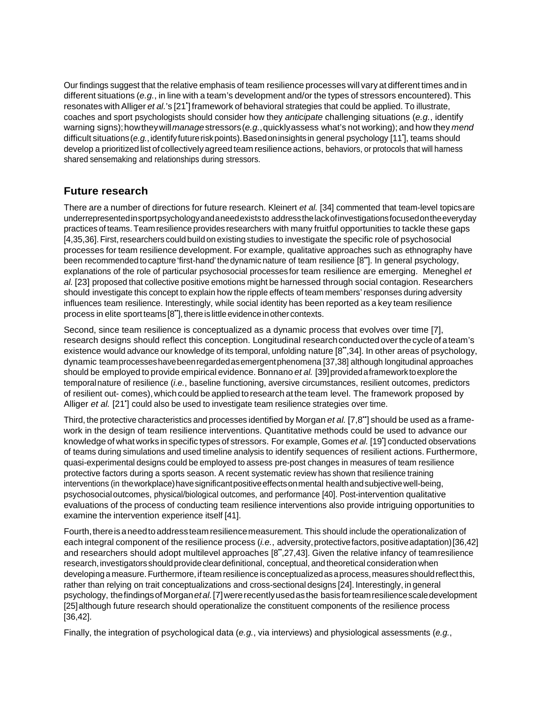Our findings suggest that the relative emphasis of team resilience processes will vary at different times and in different situations (*e.g.*, in line with a team's development and/or the types of stressors encountered). This resonates with Alliger *et al.*'s [21• ] framework of behavioral strategies that could be applied. To illustrate, coaches and sport psychologists should consider how they *anticipate* challenging situations (*e.g.*, identify warning signs);howtheywill*manage*stressors(*e.g.*,quicklyassess what's not working); and how they *mend* difficult situations(*e.g.*,identifyfutureriskpoints).Basedoninsightsin general psychology [11• ], teams should develop a prioritized list of collectively agreed team resilience actions, behaviors, or protocols that will harness shared sensemaking and relationships during stressors.

### **Future research**

There are a number of directions for future research. Kleinert *et al.* [34] commented that team-level topicsare underrepresentedinsportpsychologyandaneedexiststo addressthelackofinvestigationsfocusedontheeveryday practices of teams.Team resilience provides researchers with many fruitful opportunities to tackle these gaps [4,35,36]. First, researchers could build on existing studies to investigate the specific role of psychosocial processes for team resilience development. For example, qualitative approaches such as ethnography have been recommended to capture 'first-hand' the dynamic nature of team resilience [8<sup>\*</sup>]. In general psychology, explanations of the role of particular psychosocial processes for team resilience are emerging. Meneghel *et al.* [23] proposed that collective positive emotions might be harnessed through social contagion. Researchers should investigate this concept to explain how the ripple effects of team members' responses during adversity influences team resilience. Interestingly, while social identity has been reported as a key team resilience process in elite sport teams [8"], there is little evidence in other contexts.

Second, since team resilience is conceptualized as a dynamic process that evolves over time [7], research designs should reflect this conception. Longitudinal research conducted over the cycle of a team's existence would advance our knowledge of its temporal, unfolding nature [8", 34]. In other areas of psychology, dynamic teamprocesseshavebeenregardedasemergentphenomena [37,38] although longitudinal approaches should be employed to provide empirical evidence. Bonnano *et al.* [39]providedaframeworktoexplorethe temporalnature of resilience (*i.e.*, baseline functioning, aversive circumstances, resilient outcomes, predictors of resilient out- comes), which could be applied to research at the team level. The framework proposed by Alliger et al. [21<sup>\*</sup>] could also be used to investigate team resilience strategies over time.

Third, the protective characteristics and processes identified by Morgan *et al.* [7,8••] should be used as a framework in the design of team resilience interventions. Quantitative methods could be used to advance our knowledge of what works in specific types of stressors. For example, Gomes *et al.* [19• ] conducted observations of teams during simulations and used timeline analysis to identify sequences of resilient actions. Furthermore, quasi-experimental designs could be employed to assess pre-post changes in measures of team resilience protective factors during a sports season. A recent systematic review has shown that resilience training interventions (in the workplace) have significant positive effects on mental health and subjective well-being, psychosocialoutcomes, physical/biological outcomes, and performance [40]. Post-intervention qualitative evaluations of the process of conducting team resilience interventions also provide intriguing opportunities to examine the intervention experience itself [41].

Fourth, there is a need to address team resilience measurement. This should include the operationalization of each integral component of the resilience process (*i.e.*, adversity, protective factors, positive adaptation)[36,42] and researchers should adopt multilevel approaches [8",27,43]. Given the relative infancy of teamresilience research, investigators should provide clear definitional, conceptual, and theoretical consideration when developing a measure. Furthermore, if team resilience is conceptualized as a process, measures should reflect this, rather than relying on trait conceptualizations and cross-sectional designs [24]. Interestingly, in general psychology, thefindingsofMorgan*etal.*[7]wererecentlyusedasthe basisforteamresiliencescaledevelopment [25]although future research should operationalize the constituent components of the resilience process [36,42].

Finally, the integration of psychological data (*e.g.*, via interviews) and physiological assessments (*e.g.*,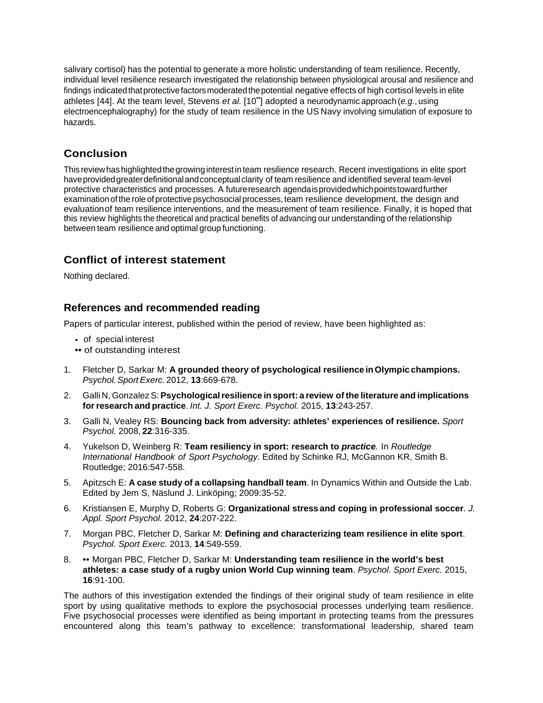salivary cortisol) has the potential to generate a more holistic understanding of team resilience. Recently, individual level resilience research investigated the relationship between physiological arousal and resilience and findings indicated that protective factors moderated the potential negative effects of high cortisol levels in elite athletes [44]. At the team level, Stevens *et al.* [10••] adopted a neurodynamic approach (*e.g.*, using electroencephalography) for the study of team resilience in the US Navy involving simulation of exposure to hazards.

## **Conclusion**

This reviewhas highlightedthegrowinginterestinteam resilience research. Recent investigations in elite sport have provided greater definitional and conceptual clarity of team resilience and identified several team-level protective characteristics and processes. A futureresearch agendaisprovidedwhichpointstowardfurther examinationof the role of protective psychosocial processes, team resilience development, the design and evaluationof team resilience interventions, and the measurement of team resilience. Finally, it is hoped that this review highlights the theoretical and practical benefits of advancing our understanding of the relationship between team resilience and optimal group functioning.

## **Conflict of interest statement**

Nothing declared.

#### **References and recommended reading**

Papers of particular interest, published within the period of review, have been highlighted as:

- of special interest
- •• of outstanding interest
- 1. Fletcher D, Sarkar M: **A grounded theory of psychological resilience inOlympic champions.** *Psychol.SportExerc.* 2012, **13**:669-678.
- 2. Galli N, GonzalezS:**Psychologicalresilience in sport: a review of the literature and implications forresearch and practice**. *Int. J. Sport Exerc. Psychol.* 2015, **13**:243-257.
- 3. Galli N, Vealey RS: **Bouncing back from adversity: athletes' experiences of resilience.** *Sport Psychol.* 2008, **22**:316-335.
- 4. Yukelson D, Weinberg R: **Team resiliency in sport: research to** *practice.* In *Routledge International Handbook of Sport Psychology.* Edited by Schinke RJ, McGannon KR, Smith B. Routledge; 2016:547-558.
- 5. Apitzsch E: **A case study of a collapsing handball team**. In Dynamics Within and Outside the Lab. Edited by Jem S, Näslund J. Linköping; 2009:35-52.
- 6. Kristiansen E, Murphy D, Roberts G: **Organizational stress and coping in professional soccer**. *J. Appl. Sport Psychol.* 2012, **24**:207-222.
- 7. Morgan PBC, Fletcher D, Sarkar M: **Defining and characterizing team resilience in elite sport**. *Psychol. Sport Exerc.* 2013, **14**:549-559.
- 8. •• Morgan PBC, Fletcher D, Sarkar M: **Understanding team resilience in the world's best athletes: a case study of a rugby union World Cup winning team**. *Psychol. Sport Exerc.* 2015, **16**:91-100.

The authors of this investigation extended the findings of their original study of team resilience in elite sport by using qualitative methods to explore the psychosocial processes underlying team resilience. Five psychosocial processes were identified as being important in protecting teams from the pressures encountered along this team's pathway to excellence: transformational leadership, shared team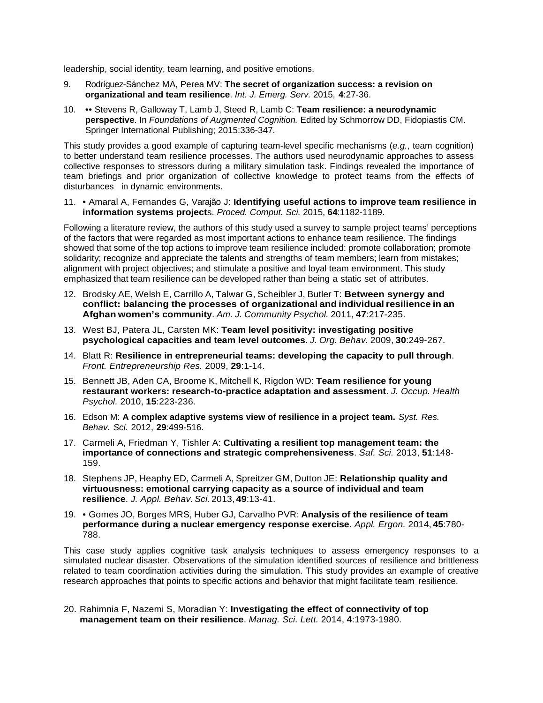leadership, social identity, team learning, and positive emotions.

- 9. Rodríguez-Sánchez MA, Perea MV: **The secret of organization success: a revision on organizational and team resilience**. *Int. J. Emerg. Serv.* 2015, **4**:27-36.
- 10. •• Stevens R, Galloway T, Lamb J, Steed R, Lamb C: **Team resilience: a neurodynamic perspective**. In *Foundations of Augmented Cognition.* Edited by Schmorrow DD, Fidopiastis CM. Springer International Publishing; 2015:336-347.

This study provides a good example of capturing team-level specific mechanisms (*e.g.*, team cognition) to better understand team resilience processes. The authors used neurodynamic approaches to assess collective responses to stressors during a military simulation task. Findings revealed the importance of team briefings and prior organization of collective knowledge to protect teams from the effects of disturbances in dynamic environments.

11. • Amaral A, Fernandes G, Varajão J: **Identifying useful actions to improve team resilience in information systems project**s. *Proced. Comput. Sci.* 2015, **64**:1182-1189.

Following a literature review, the authors of this study used a survey to sample project teams' perceptions of the factors that were regarded as most important actions to enhance team resilience. The findings showed that some of the top actions to improve team resilience included: promote collaboration; promote solidarity; recognize and appreciate the talents and strengths of team members; learn from mistakes; alignment with project objectives; and stimulate a positive and loyal team environment. This study emphasized that team resilience can be developed rather than being a static set of attributes.

- 12. Brodsky AE, Welsh E, Carrillo A, Talwar G, Scheibler J, Butler T: **Between synergy and conflict: balancing the processes of organizational and individualresilience in an Afghan women's community**. *Am. J. Community Psychol.* 2011, **47**:217-235.
- 13. West BJ, Patera JL, Carsten MK: **Team level positivity: investigating positive psychological capacities and team level outcomes**. *J. Org. Behav.* 2009, **30**:249-267.
- 14. Blatt R: **Resilience in entrepreneurial teams: developing the capacity to pull through**. *Front. Entrepreneurship Res.* 2009, **29**:1-14.
- 15. Bennett JB, Aden CA, Broome K, Mitchell K, Rigdon WD: **Team resilience for young restaurant workers: research-to-practice adaptation and assessment**. *J. Occup. Health Psychol.* 2010, **15**:223-236.
- 16. Edson M: **A complex adaptive systems view of resilience in a project team.** *Syst. Res. Behav. Sci.* 2012, **29**:499-516.
- 17. Carmeli A, Friedman Y, Tishler A: **Cultivating a resilient top management team: the importance of connections and strategic comprehensiveness**. *Saf. Sci.* 2013, **51**:148- 159.
- 18. Stephens JP, Heaphy ED, Carmeli A, Spreitzer GM, Dutton JE: **Relationship quality and virtuousness: emotional carrying capacity as a source of individual and team resilience**. *J. Appl. Behav. Sci.* 2013, **49**:13-41.
- 19. Gomes JO, Borges MRS, Huber GJ, Carvalho PVR: **Analysis of the resilience of team performance during a nuclear emergency response exercise**. *Appl. Ergon.* 2014, **45**:780- 788.

This case study applies cognitive task analysis techniques to assess emergency responses to a simulated nuclear disaster. Observations of the simulation identified sources of resilience and brittleness related to team coordination activities during the simulation. This study provides an example of creative research approaches that points to specific actions and behavior that might facilitate team resilience.

20. Rahimnia F, Nazemi S, Moradian Y: **Investigating the effect of connectivity of top management team on their resilience**. *Manag. Sci. Lett.* 2014, **4**:1973-1980.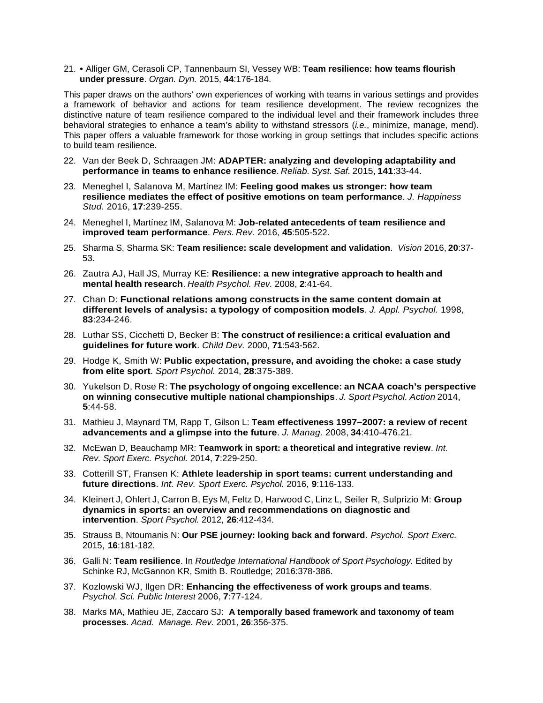21. • Alliger GM, Cerasoli CP, Tannenbaum SI, Vessey WB: **Team resilience: how teams flourish under pressure**. *Organ. Dyn.* 2015, **44**:176-184.

This paper draws on the authors' own experiences of working with teams in various settings and provides a framework of behavior and actions for team resilience development. The review recognizes the distinctive nature of team resilience compared to the individual level and their framework includes three behavioral strategies to enhance a team's ability to withstand stressors (*i.e.*, minimize, manage, mend). This paper offers a valuable framework for those working in group settings that includes specific actions to build team resilience.

- 22. Van der Beek D, Schraagen JM: **ADAPTER: analyzing and developing adaptability and performance in teams to enhance resilience**. *Reliab. Syst. Saf.* 2015, **141**:33-44.
- 23. Meneghel I, Salanova M, Martínez IM: **Feeling good makes us stronger: how team resilience mediates the effect of positive emotions on team performance**. *J. Happiness Stud.* 2016, **17**:239-255.
- 24. Meneghel I, Martínez IM, Salanova M: **Job-related antecedents of team resilience and improved team performance**. *Pers. Rev.* 2016, **45**:505-522.
- 25. Sharma S, Sharma SK: **Team resilience: scale development and validation**. *Vision* 2016, **20**:37- 53.
- 26. Zautra AJ, Hall JS, Murray KE: **Resilience: a new integrative approach to health and mental health research**. *Health Psychol. Rev.* 2008, **2**:41-64.
- 27. Chan D: **Functional relations among constructs in the same content domain at different levels of analysis: a typology of composition models**. *J. Appl. Psychol.* 1998, **83**:234-246.
- 28. Luthar SS, Cicchetti D, Becker B: **The construct of resilience:a critical evaluation and guidelines for future work**. *Child Dev.* 2000, **71**:543-562.
- 29. Hodge K, Smith W: **Public expectation, pressure, and avoiding the choke: a case study from elite sport**. *Sport Psychol.* 2014, **28**:375-389.
- 30. Yukelson D, Rose R: **The psychology of ongoing excellence: an NCAA coach's perspective on winning consecutive multiple national championships**. *J. Sport Psychol. Action* 2014, **5**:44-58.
- 31. Mathieu J, Maynard TM, Rapp T, Gilson L: **Team effectiveness 1997–2007: a review of recent advancements and a glimpse into the future**. *J. Manag.* 2008, **34**:410-476.21.
- 32. McEwan D, Beauchamp MR: **Teamwork in sport: a theoretical and integrative review**. *Int. Rev. Sport Exerc. Psychol.* 2014, **7**:229-250.
- 33. Cotterill ST, Fransen K: **Athlete leadership in sport teams: current understanding and future directions**. *Int. Rev. Sport Exerc. Psychol.* 2016, **9**:116-133.
- 34. Kleinert J, Ohlert J, Carron B, Eys M, Feltz D, Harwood C, Linz L, Seiler R, Sulprizio M: **Group dynamics in sports: an overview and recommendations on diagnostic and intervention**. *Sport Psychol.* 2012, **26**:412-434.
- 35. Strauss B, Ntoumanis N: **Our PSE journey: looking back and forward**. *Psychol. Sport Exerc.* 2015, **16**:181-182.
- 36. Galli N: **Team resilience**. In *Routledge International Handbook of Sport Psychology.* Edited by Schinke RJ, McGannon KR, Smith B. Routledge; 2016:378-386.
- 37. Kozlowski WJ, Ilgen DR: **Enhancing the effectiveness of work groups and teams**. *Psychol. Sci. Public Interest* 2006, **7**:77-124.
- 38. Marks MA, Mathieu JE, Zaccaro SJ: **A temporally based framework and taxonomy of team processes**. *Acad. Manage. Rev.* 2001, **26**:356-375.